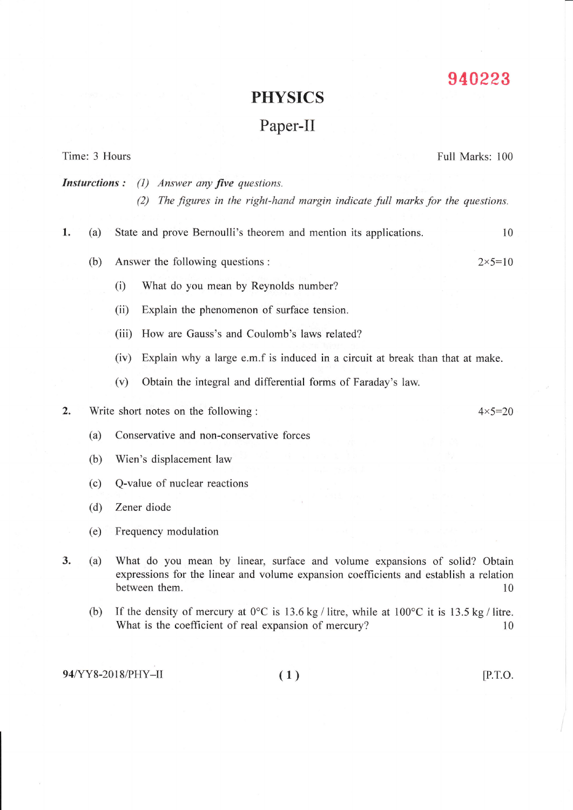## 940 223

## PHYSICS

## Paper-II

|                                                           | Time: 3 Hours |                                                                                                                                                                                      | Full Marks: 100   |
|-----------------------------------------------------------|---------------|--------------------------------------------------------------------------------------------------------------------------------------------------------------------------------------|-------------------|
| <b>Insturctions:</b><br>Answer any five questions.<br>(1) |               |                                                                                                                                                                                      |                   |
|                                                           |               | The figures in the right-hand margin indicate full marks for the questions.<br>(2)                                                                                                   |                   |
| 1.                                                        | (a)           | State and prove Bernoulli's theorem and mention its applications.                                                                                                                    | 10                |
|                                                           | (b)           | Answer the following questions :                                                                                                                                                     | $2 \times 5 = 10$ |
|                                                           |               | What do you mean by Reynolds number?<br>(i)                                                                                                                                          |                   |
|                                                           |               | Explain the phenomenon of surface tension.<br>(ii)                                                                                                                                   |                   |
|                                                           |               | How are Gauss's and Coulomb's laws related?<br>(iii)                                                                                                                                 |                   |
|                                                           |               | Explain why a large e.m.f is induced in a circuit at break than that at make.<br>(iv)                                                                                                |                   |
|                                                           |               | Obtain the integral and differential forms of Faraday's law.<br>(v)                                                                                                                  |                   |
| 2.                                                        |               | Write short notes on the following:                                                                                                                                                  | $4 \times 5 = 20$ |
|                                                           | (a)           | Conservative and non-conservative forces                                                                                                                                             |                   |
|                                                           | (b)           | Wien's displacement law                                                                                                                                                              |                   |
|                                                           | (c)           | Q-value of nuclear reactions                                                                                                                                                         |                   |
|                                                           | (d)           | Zener diode                                                                                                                                                                          |                   |
|                                                           | (e)           | Frequency modulation                                                                                                                                                                 |                   |
| 3.                                                        | (a)           | What do you mean by linear, surface and volume expansions of solid? Obtain<br>expressions for the linear and volume expansion coefficients and establish a relation<br>between them. | 10                |

(b) If the density of mercury at  $0^{\circ}$ C is 13.6 kg / litre, while at  $100^{\circ}$ C it is 13.5 kg / litre. What is the coefficient of real expansion of mercury? 10

94/YY8-2018/PHY-II (1) [P.T.O.